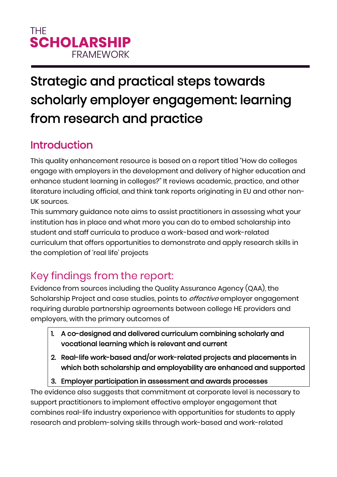### **THF SCHOLARSHIP FRAMFWORK**

# Strategic and practical steps towards scholarly employer engagement: learning from research and practice

#### Introduction

This quality enhancement resource is based on a report titled "How do colleges engage with employers in the development and delivery of higher education and enhance student learning in colleges?" It reviews academic, practice, and other literature including official, and think tank reports originating in EU and other non-UK sources.

This summary guidance note aims to assist practitioners in assessing what your institution has in place and what more you can do to embed scholarship into student and staff curricula to produce a work-based and work-related curriculum that offers opportunities to demonstrate and apply research skills in the completion of 'real life' projects

## Key findings from the report:

Evidence from sources including the Quality Assurance Agency (QAA), the Scholarship Project and case studies, points to *effective* employer engagement requiring durable partnership agreements between college HE providers and employers, with the primary outcomes of

- 1. A co-designed and delivered curriculum combining scholarly and vocational learning which is relevant and current
- 2. Real-life work-based and/or work-related projects and placements in which both scholarship and employability are enhanced and supported
- 3. Employer participation in assessment and awards processes

The evidence also suggests that commitment at corporate level is necessary to support practitioners to implement effective employer engagement that combines real-life industry experience with opportunities for students to apply research and problem-solving skills through work-based and work-related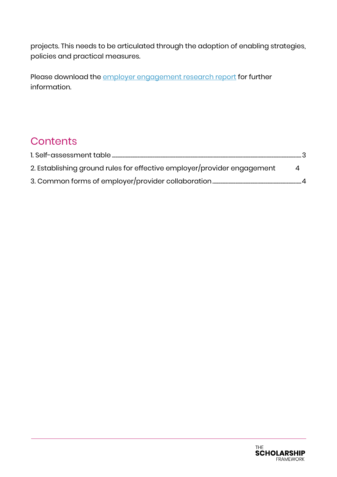projects. This needs to be articulated through the adoption of enabling strategies, policies and practical measures.

Please download the [employer engagement research report](https://www.aoc.co.uk/system/files/employer%20engagement.pdf) for further information.

#### **Contents**

| 2. Establishing ground rules for effective employer/provider engagement<br>-4 |  |
|-------------------------------------------------------------------------------|--|
|                                                                               |  |

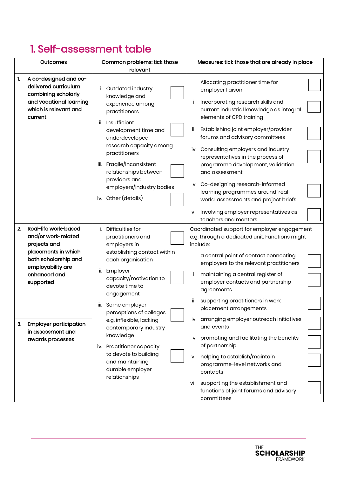#### <span id="page-2-0"></span>1. Self-assessment table

| A co-designed and co-<br>1.                                                                                                                                                                                                                        | relevant                                                                                                                                                                                                                                                                                                                                                                                                                |                                                                                                                                                                                                                                                                                                                                                                                                                                                                                                                                                                                                                                                                                          |
|----------------------------------------------------------------------------------------------------------------------------------------------------------------------------------------------------------------------------------------------------|-------------------------------------------------------------------------------------------------------------------------------------------------------------------------------------------------------------------------------------------------------------------------------------------------------------------------------------------------------------------------------------------------------------------------|------------------------------------------------------------------------------------------------------------------------------------------------------------------------------------------------------------------------------------------------------------------------------------------------------------------------------------------------------------------------------------------------------------------------------------------------------------------------------------------------------------------------------------------------------------------------------------------------------------------------------------------------------------------------------------------|
| delivered curriculum<br>combining scholarly<br>and vocational learning<br>which is relevant and<br>current                                                                                                                                         | Outdated industry<br>knowledge and<br>experience among<br>practitioners<br>ii. Insufficient<br>development time and<br>underdeveloped<br>research capacity among<br>practitioners<br>iii. Fragile/inconsistent<br>relationships between<br>providers and<br>employers/industry bodies<br>iv. Other (details)                                                                                                            | i. Allocating practitioner time for<br>employer liaison<br>ii. Incorporating research skills and<br>current industrial knowledge as integral<br>elements of CPD training<br>iii. Establishing joint employer/provider<br>forums and advisory committees<br>iv. Consulting employers and industry<br>representatives in the process of<br>programme development, validation<br>and assessment<br>v. Co-designing research-informed<br>learning programmes around 'real<br>world' assessments and project briefs<br>vi. Involving employer representatives as                                                                                                                              |
| 2.<br>Real-life work-based<br>and/or work-related<br>projects and<br>placements in which<br>both scholarship and<br>employability are<br>enhanced and<br>supported<br><b>Employer participation</b><br>3.<br>in assessment and<br>awards processes | i. Difficulties for<br>practitioners and<br>employers in<br>establishing contact within<br>each organisation<br>ii. Employer<br>capacity/motivation to<br>devote time to<br>engagement<br>iii. Some employer<br>perceptions of colleges<br>e.g. inflexible, lacking<br>contemporary industry<br>knowledge<br>iv. Practitioner capacity<br>to devote to building<br>and maintaining<br>durable employer<br>relationships | teachers and mentors<br>Coordinated support for employer engagement<br>e.g. through a dedicated unit. Functions might<br>include:<br>i. a central point of contact connecting<br>employers to the relevant practitioners<br>ii. maintaining a central register of<br>employer contacts and partnership<br>agreements<br>iii. supporting practitioners in work<br>placement arrangements<br>iv. arranging employer outreach initiatives<br>and events<br>v. promoting and facilitating the benefits<br>of partnership<br>vi. helping to establish/maintain<br>programme-level networks and<br>contacts<br>vii. supporting the establishment and<br>functions of joint forums and advisory |